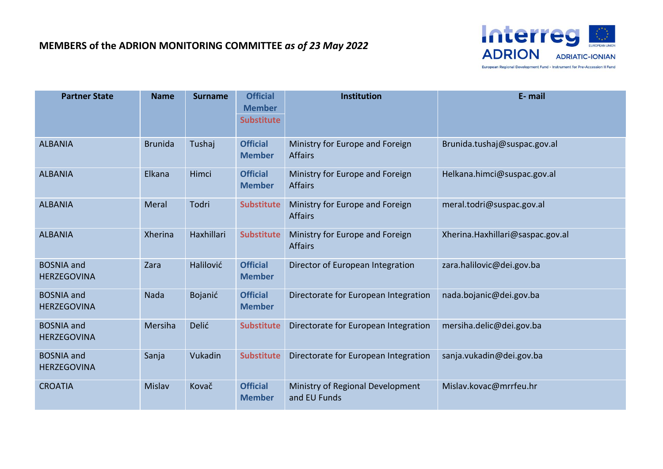

**Partner State Name Surname Official Member Institution E- mail Substitute** ALBANIA Brunida Tushaj **Official Member** Ministry for Europe and Foreign Affairs Brunida.tushaj@suspac.gov.al ALBANIA Elkana Himci **Official Member** Ministry for Europe and Foreign **Affairs** Helkana.himci@suspac.gov.al ALBANIA Meral Todri **Substitute** Ministry for Europe and Foreign Affairs meral.todri@suspac.gov.al ALBANIA Xherina Haxhillari **Substitute** Ministry for Europe and Foreign Affairs Xherina.Haxhillari@saspac.gov.al BOSNIA and HERZEGOVINA Zara Halilović **Official Member** Director of European Integration zara.halilovic@dei.gov.ba BOSNIA and HERZEGOVINA Nada Bojanić **Official Member** Directorate for European Integration nada.bojanic@dei.gov.ba BOSNIA and HERZEGOVINA Mersiha Delić **Substitute** Directorate for European Integration mersiha.delic@dei.gov.ba BOSNIA and HERZEGOVINA Sanja Vukadin Substitute Directorate for European Integration sanja.vukadin@dei.gov.ba CROATIA Mislav Kovač **Official Member** Ministry of Regional Development and EU Funds Mislav.kovac@mrrfeu.hr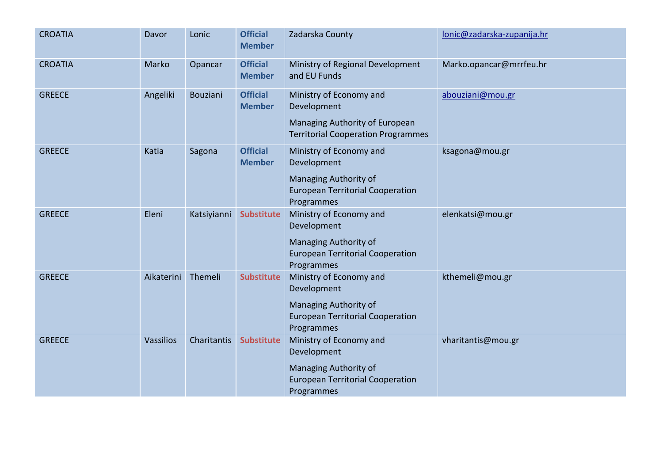| <b>CROATIA</b> | Davor      | Lonic       | <b>Official</b><br><b>Member</b> | Zadarska County                                                                                                          | lonic@zadarska-zupanija.hr |
|----------------|------------|-------------|----------------------------------|--------------------------------------------------------------------------------------------------------------------------|----------------------------|
| <b>CROATIA</b> | Marko      | Opancar     | <b>Official</b><br><b>Member</b> | Ministry of Regional Development<br>and EU Funds                                                                         | Marko.opancar@mrrfeu.hr    |
| <b>GREECE</b>  | Angeliki   | Bouziani    | <b>Official</b><br><b>Member</b> | Ministry of Economy and<br>Development<br>Managing Authority of European<br><b>Territorial Cooperation Programmes</b>    | abouziani@mou.gr           |
| <b>GREECE</b>  | Katia      | Sagona      | <b>Official</b><br><b>Member</b> | Ministry of Economy and<br>Development<br>Managing Authority of<br><b>European Territorial Cooperation</b><br>Programmes | ksagona@mou.gr             |
| <b>GREECE</b>  | Eleni      | Katsiyianni | <b>Substitute</b>                | Ministry of Economy and<br>Development<br>Managing Authority of<br><b>European Territorial Cooperation</b><br>Programmes | elenkatsi@mou.gr           |
| <b>GREECE</b>  | Aikaterini | Themeli     | <b>Substitute</b>                | Ministry of Economy and<br>Development<br>Managing Authority of<br><b>European Territorial Cooperation</b><br>Programmes | kthemeli@mou.gr            |
| <b>GREECE</b>  | Vassilios  | Charitantis | <b>Substitute</b>                | Ministry of Economy and<br>Development<br>Managing Authority of<br><b>European Territorial Cooperation</b><br>Programmes | vharitantis@mou.gr         |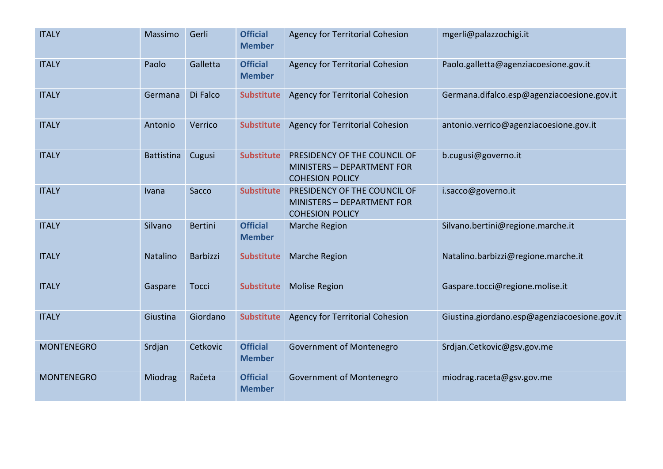| <b>ITALY</b>      | Massimo           | Gerli          | <b>Official</b><br><b>Member</b> | <b>Agency for Territorial Cohesion</b>                                                      | mgerli@palazzochigi.it                       |
|-------------------|-------------------|----------------|----------------------------------|---------------------------------------------------------------------------------------------|----------------------------------------------|
| <b>ITALY</b>      | Paolo             | Galletta       | <b>Official</b><br><b>Member</b> | <b>Agency for Territorial Cohesion</b>                                                      | Paolo.galletta@agenziacoesione.gov.it        |
| <b>ITALY</b>      | Germana           | Di Falco       | <b>Substitute</b>                | <b>Agency for Territorial Cohesion</b>                                                      | Germana.difalco.esp@agenziacoesione.gov.it   |
| <b>ITALY</b>      | Antonio           | Verrico        | <b>Substitute</b>                | <b>Agency for Territorial Cohesion</b>                                                      | antonio.verrico@agenziacoesione.gov.it       |
| <b>ITALY</b>      | <b>Battistina</b> | Cugusi         | <b>Substitute</b>                | PRESIDENCY OF THE COUNCIL OF<br><b>MINISTERS - DEPARTMENT FOR</b><br><b>COHESION POLICY</b> | b.cugusi@governo.it                          |
| <b>ITALY</b>      | Ivana             | Sacco          | <b>Substitute</b>                | PRESIDENCY OF THE COUNCIL OF<br>MINISTERS - DEPARTMENT FOR<br><b>COHESION POLICY</b>        | i.sacco@governo.it                           |
| <b>ITALY</b>      | Silvano           | <b>Bertini</b> | <b>Official</b><br><b>Member</b> | Marche Region                                                                               | Silvano.bertini@regione.marche.it            |
| <b>ITALY</b>      | Natalino          | Barbizzi       | <b>Substitute</b>                | <b>Marche Region</b>                                                                        | Natalino.barbizzi@regione.marche.it          |
| <b>ITALY</b>      | Gaspare           | <b>Tocci</b>   | <b>Substitute</b>                | <b>Molise Region</b>                                                                        | Gaspare.tocci@regione.molise.it              |
| <b>ITALY</b>      | Giustina          | Giordano       | <b>Substitute</b>                | <b>Agency for Territorial Cohesion</b>                                                      | Giustina.giordano.esp@agenziacoesione.gov.it |
| <b>MONTENEGRO</b> | Srdjan            | Cetkovic       | <b>Official</b><br><b>Member</b> | Government of Montenegro                                                                    | Srdjan.Cetkovic@gsv.gov.me                   |
| <b>MONTENEGRO</b> | Miodrag           | Račeta         | <b>Official</b><br><b>Member</b> | Government of Montenegro                                                                    | miodrag.raceta@gsv.gov.me                    |